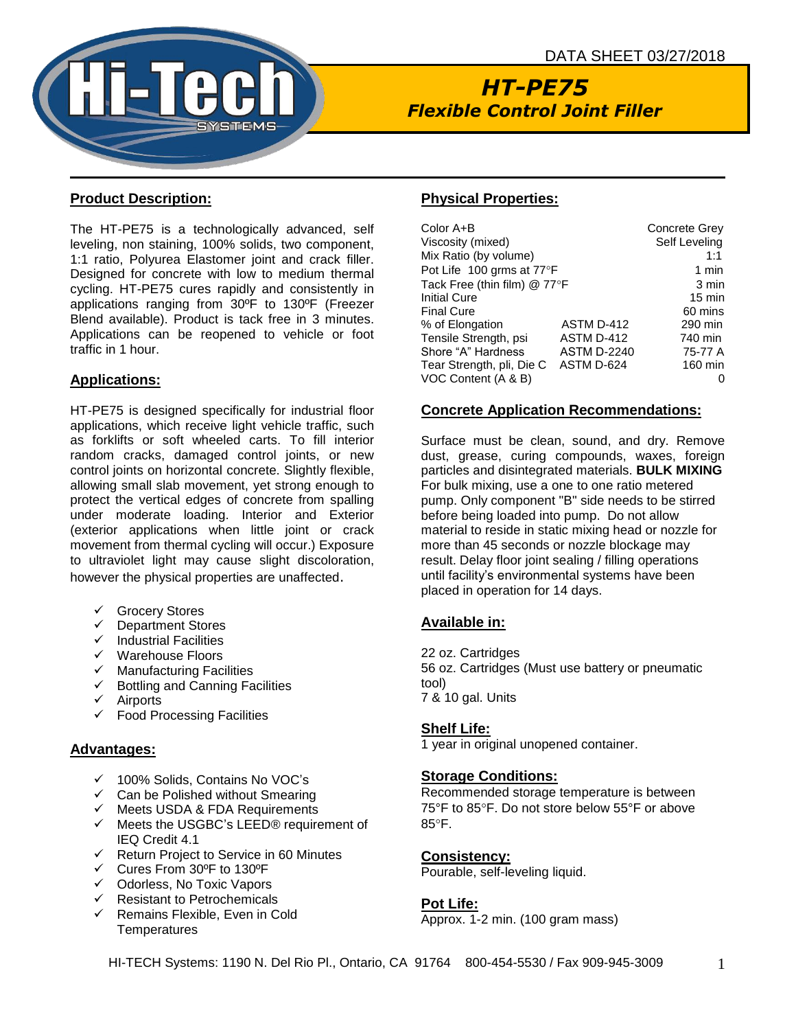

# *HT-PE75 Flexible Control Joint Filler*

# **Product Description:**

The HT-PE75 is a technologically advanced, self leveling, non staining, 100% solids, two component, 1:1 ratio, Polyurea Elastomer joint and crack filler. Designed for concrete with low to medium thermal cycling. HT-PE75 cures rapidly and consistently in applications ranging from 30ºF to 130ºF (Freezer Blend available). Product is tack free in 3 minutes. Applications can be reopened to vehicle or foot traffic in 1 hour.

# **Applications:**

HT-PE75 is designed specifically for industrial floor applications, which receive light vehicle traffic, such as forklifts or soft wheeled carts. To fill interior random cracks, damaged control joints, or new control joints on horizontal concrete. Slightly flexible, allowing small slab movement, yet strong enough to protect the vertical edges of concrete from spalling under moderate loading. Interior and Exterior (exterior applications when little joint or crack movement from thermal cycling will occur.) Exposure to ultraviolet light may cause slight discoloration, however the physical properties are unaffected.

- ✓ Grocery Stores
- ✓ Department Stores
- ✓ Industrial Facilities
- ✓ Warehouse Floors
- $\checkmark$  Manufacturing Facilities
- ✓ Bottling and Canning Facilities
- ✓ Airports
- ✓ Food Processing Facilities

#### **Advantages:**

- ✓ 100% Solids, Contains No VOC's
- $\checkmark$  Can be Polished without Smearing
- ✓ Meets USDA & FDA Requirements
- ✓ Meets the USGBC's LEED® requirement of IEQ Credit 4.1
- ✓ Return Project to Service in 60 Minutes
- ✓ Cures From 30ºF to 130ºF
- ✓ Odorless, No Toxic Vapors
- ✓ Resistant to Petrochemicals
- $\checkmark$  Remains Flexible, Even in Cold **Temperatures**

# **Physical Properties:**

| Color A+B                    |                    | <b>Concrete Grev</b> |  |
|------------------------------|--------------------|----------------------|--|
| Viscosity (mixed)            |                    | Self Leveling        |  |
| Mix Ratio (by volume)        |                    | 1:1                  |  |
| Pot Life 100 grms at 77°F    | 1 min              |                      |  |
| Tack Free (thin film) @ 77°F | 3 min              |                      |  |
| <b>Initial Cure</b>          |                    | $15 \text{ min}$     |  |
| <b>Final Cure</b>            |                    | 60 mins              |  |
| % of Elongation              | ASTM D-412         | 290 min              |  |
| Tensile Strength, psi        | ASTM D-412         | 740 min              |  |
| Shore "A" Hardness           | <b>ASTM D-2240</b> | 75-77 A              |  |
| Tear Strength, pli, Die C    | ASTM D-624         | 160 min              |  |
| VOC Content (A & B)          |                    |                      |  |

#### **Concrete Application Recommendations:**

Surface must be clean, sound, and dry. Remove dust, grease, curing compounds, waxes, foreign particles and disintegrated materials. **BULK MIXING** For bulk mixing, use a one to one ratio metered pump. Only component "B" side needs to be stirred before being loaded into pump. Do not allow material to reside in static mixing head or nozzle for more than 45 seconds or nozzle blockage may result. Delay floor joint sealing / filling operations until facility's environmental systems have been placed in operation for 14 days.

#### **Available in:**

22 oz. Cartridges 56 oz. Cartridges (Must use battery or pneumatic tool) 7 & 10 gal. Units

#### **Shelf Life:**

1 year in original unopened container.

#### **Storage Conditions:**

Recommended storage temperature is between 75°F to 85°F. Do not store below 55°F or above 85°F.

#### **Consistency:**

Pourable, self-leveling liquid.

#### **Pot Life:**

Approx. 1-2 min. (100 gram mass)